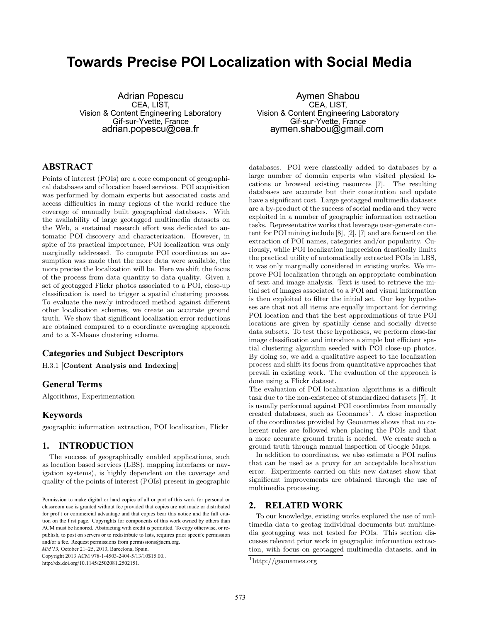# **Towards Precise POI Localization with Social Media**

Adrian Popescu CEA, LIST, Vision & Content Engineering Laboratory Gif-sur-Yvette, France adrian.popescu@cea.fr

## **ABSTRACT**

Points of interest (POIs) are a core component of geographical databases and of location based services. POI acquisition was performed by domain experts but associated costs and access difficulties in many regions of the world reduce the coverage of manually built geographical databases. With the availability of large geotagged multimedia datasets on the Web, a sustained research effort was dedicated to automatic POI discovery and characterization. However, in spite of its practical importance, POI localization was only marginally addressed. To compute POI coordinates an assumption was made that the more data were available, the more precise the localization will be. Here we shift the focus of the process from data quantity to data quality. Given a set of geotagged Flickr photos associated to a POI, close-up classification is used to trigger a spatial clustering process. To evaluate the newly introduced method against different other localization schemes, we create an accurate ground truth. We show that significant localization error reductions are obtained compared to a coordinate averaging approach and to a X-Means clustering scheme.

## **Categories and Subject Descriptors**

H.3.1 [Content Analysis and Indexing]

## **General Terms**

Algorithms, Experimentation

### **Keywords**

geographic information extraction, POI localization, Flickr

### **1. INTRODUCTION**

The success of geographically enabled applications, such as location based services (LBS), mapping interfaces or navigation systems), is highly dependent on the coverage and quality of the points of interest (POIs) present in geographic

*MM'13,* October 21–25, 2013, Barcelona, Spain.

Copyright 2013 ACM 978-1-4503-2404-5/13/10\$15.00..

http://dx.doi.org/10.1145/2502081.2502151.

Aymen Shabou CEA, LIST, Vision & Content Engineering Laboratory Gif-sur-Yvette, France aymen.shabou@gmail.com

databases. POI were classically added to databases by a large number of domain experts who visited physical locations or browsed existing resources [7]. The resulting databases are accurate but their constitution and update have a significant cost. Large geotagged multimedia datasets are a by-product of the success of social media and they were exploited in a number of geographic information extraction tasks. Representative works that leverage user-generate content for POI mining include [8], [2], [7] and are focused on the extraction of POI names, categories and/or popularity. Curiously, while POI localization imprecision drastically limits the practical utility of automatically extracted POIs in LBS, it was only marginally considered in existing works. We improve POI localization through an appropriate combination of text and image analysis. Text is used to retrieve the initial set of images associated to a POI and visual information is then exploited to filter the initial set. Our key hypotheses are that not all items are equally important for deriving POI location and that the best approximations of true POI locations are given by spatially dense and socially diverse data subsets. To test these hypotheses, we perform close-far image classification and introduce a simple but efficient spatial clustering algorithm seeded with POI close-up photos. By doing so, we add a qualitative aspect to the localization process and shift its focus from quantitative approaches that prevail in existing work. The evaluation of the approach is done using a Flickr dataset.

The evaluation of POI localization algorithms is a difficult task due to the non-existence of standardized datasets [7]. It is usually performed against POI coordinates from manually created databases, such as Geonames<sup>1</sup>. A close inspection of the coordinates provided by Geonames shows that no coherent rules are followed when placing the POIs and that a more accurate ground truth is needed. We create such a ground truth through manual inspection of Google Maps.

In addition to coordinates, we also estimate a POI radius that can be used as a proxy for an acceptable localization error. Experiments carried on this new dataset show that significant improvements are obtained through the use of multimedia processing.

# **2. RELATED WORK**

To our knowledge, existing works explored the use of multimedia data to geotag individual documents but multimedia geotagging was not tested for POIs. This section discusses relevant prior work in geographic information extraction, with focus on geotagged multimedia datasets, and in

Permission to make digital or hard copies of all or part of this work for personal or classroom use is granted without fee provided that copies are not made or distributed for prof t or commercial advantage and that copies bear this notice and the full citation on the f rst page. Copyrights for components of this work owned by others than ACM must be honored. Abstracting with credit is permitted. To copy otherwise, or republish, to post on servers or to redistribute to lists, requires prior specif c permission and/or a fee. Request permissions from permissions@acm.org.

<sup>1</sup> http://geonames.org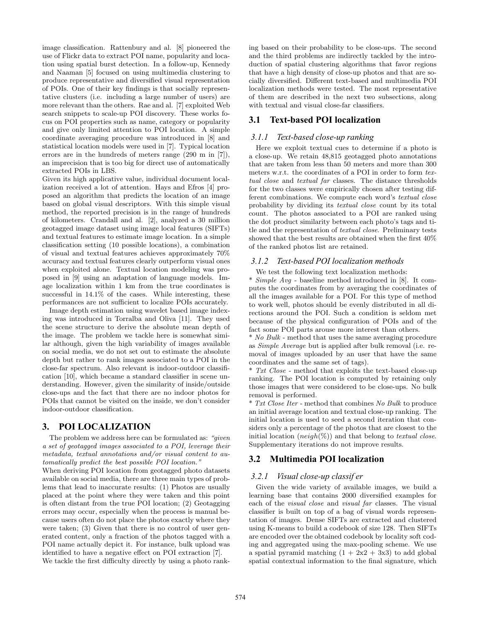image classification. Rattenbury and al. [8] pioneered the use of Flickr data to extract POI name, popularity and location using spatial burst detection. In a follow-up, Kennedy and Naaman [5] focused on using multimedia clustering to produce representative and diversified visual representation of POIs. One of their key findings is that socially representative clusters (i.e. including a large number of users) are more relevant than the others. Rae and al. [7] exploited Web search snippets to scale-up POI discovery. These works focus on POI properties such as name, category or popularity and give only limited attention to POI location. A simple coordinate averaging procedure was introduced in [8] and statistical location models were used in [7]. Typical location errors are in the hundreds of meters range (290 m in [7]), an imprecision that is too big for direct use of automatically extracted POIs in LBS.

Given its high applicative value, individual document localization received a lot of attention. Hays and Efros [4] proposed an algorithm that predicts the location of an image based on global visual descriptors. With this simple visual method, the reported precision is in the range of hundreds of kilometers. Crandall and al. [2], analyzed a 30 million geotagged image dataset using image local features (SIFTs) and textual features to estimate image location. In a simple classification setting (10 possible locations), a combination of visual and textual features achieves approximately 70% accuracy and textual features clearly outperform visual ones when exploited alone. Textual location modeling was proposed in [9] using an adaptation of language models. Image localization within 1 km from the true coordinates is successful in 14.1% of the cases. While interesting, these performances are not sufficient to localize POIs accurately.

Image depth estimation using wavelet based image indexing was introduced in Torralba and Oliva [11]. They used the scene structure to derive the absolute mean depth of the image. The problem we tackle here is somewhat similar although, given the high variability of images available on social media, we do not set out to estimate the absolute depth but rather to rank images associated to a POI in the close-far spectrum. Also relevant is indoor-outdoor classification [10], which became a standard classifier in scene understanding. However, given the similarity of inside/outside close-ups and the fact that there are no indoor photos for POIs that cannot be visited on the inside, we don't consider indoor-outdoor classification.

## **3. POI LOCALIZATION**

The problem we address here can be formulated as: "given a set of geotagged images associated to a POI, leverage their metadata, textual annotations and/or visual content to automatically predict the best possible POI location."

When deriving POI location from geotagged photo datasets available on social media, there are three main types of problems that lead to inaccurate results: (1) Photos are usually placed at the point where they were taken and this point is often distant from the true POI location; (2) Geotagging errors may occur, especially when the process is manual because users often do not place the photos exactly where they were taken; (3) Given that there is no control of user generated content, only a fraction of the photos tagged with a POI name actually depict it. For instance, bulk upload was identified to have a negative effect on POI extraction [7]. We tackle the first difficulty directly by using a photo ranking based on their probability to be close-ups. The second and the third problems are indirectly tackled by the introduction of spatial clustering algorithms that favor regions that have a high density of close-up photos and that are socially diversified. Different text-based and multimedia POI localization methods were tested. The most representative of them are described in the next two subsections, along with textual and visual close-far classifiers.

## **3.1 Text-based POI localization**

#### *3.1.1 Text-based close-up ranking*

Here we exploit textual cues to determine if a photo is a close-up. We retain 48,815 geotagged photo annotations that are taken from less than 50 meters and more than 300 meters w.r.t. the coordinates of a POI in order to form textual close and textual far classes. The distance thresholds for the two classes were empirically chosen after testing different combinations. We compute each word's textual close probability by dividing its textual close count by its total count. The photos associated to a POI are ranked using the dot product similarity between each photo's tags and title and the representation of textual close. Preliminary tests showed that the best results are obtained when the first 40% of the ranked photos list are retained.

#### *3.1.2 Text-based POI localization methods*

We test the following text localization methods:

\* Simple Avg - baseline method introduced in [8]. It computes the coordinates from by averaging the coordinates of all the images available for a POI. For this type of method to work well, photos should be evenly distributed in all directions around the POI. Such a condition is seldom met because of the physical configuration of POIs and of the fact some POI parts arouse more interest than others.

\* No Bulk - method that uses the same averaging procedure as Simple Average but is applied after bulk removal (i.e. removal of images uploaded by an user that have the same coordinates and the same set of tags).

\* Txt Close - method that exploits the text-based close-up ranking. The POI location is computed by retaining only those images that were considered to be close-ups. No bulk removal is performed.

\* Txt Close Iter - method that combines No Bulk to produce an initial average location and textual close-up ranking. The initial location is used to seed a second iteration that considers only a percentage of the photos that are closest to the initial location  $(neigh(\%))$  and that belong to *textual close*. Supplementary iterations do not improve results.

## **3.2 Multimedia POI localization**

## *3.2.1 Visual close-up classif er*

Given the wide variety of available images, we build a learning base that contains 2000 diversified examples for each of the visual close and visual far classes. The visual classifier is built on top of a bag of visual words representation of images. Dense SIFTs are extracted and clustered using K-means to build a codebook of size 128. Then SIFTs are encoded over the obtained codebook by locality soft coding and aggregated using the max-pooling scheme. We use a spatial pyramid matching  $(1 + 2x^2 + 3x^3)$  to add global spatial contextual information to the final signature, which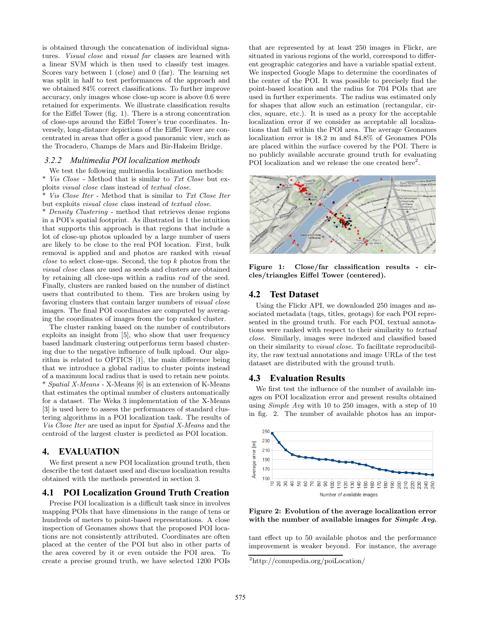is obtained through the concatenation of individual signatures. *Visual close* and *visual far* classes are learned with a linear SVM which is then used to classify test images. Scores vary between 1 (close) and 0 (far). The learning set was split in half to test performances of the approach and we obtained 84% correct classifications. To further improve accuracy, only images whose close-up score is above 0.6 were retained for experiments. We illustrate classification results for the Eiffel Tower (fig. 1). There is a strong concentration of close-ups around the Eiffel Tower's true coordinates. Inversely, long-distance depictions of the Eiffel Tower are concentrated in areas that offer a good panoramic view, such as the Trocadero, Champs de Mars and Bir-Hakeim Bridge.

#### *3.2.2 Multimedia POI localization methods*

We test the following multimedia localization methods: \* Vis Close - Method that is similar to Txt Close but exploits visual close class instead of textual close.

 $*$  Vis Close Iter - Method that is similar to Txt Close Iter but exploits visual close class instead of textual close.

\* Density Clustering - method that retrieves dense regions in a POI's spatial footprint. As illustrated in 1 the intuition that supports this approach is that regions that include a lot of close-up photos uploaded by a large number of users are likely to be close to the real POI location. First, bulk removal is applied and and photos are ranked with visual *close* to select close-ups. Second, the top  $k$  photos from the visual close class are used as seeds and clusters are obtained by retaining all close-ups within a radius rad of the seed. Finally, clusters are ranked based on the number of distinct users that contributed to them. Ties are broken using by favoring clusters that contain larger numbers of visual close images. The final POI coordinates are computed by averaging the coordinates of images from the top ranked cluster.

The cluster ranking based on the number of contributors exploits an insight from [5], who show that user frequency based landmark clustering outperforms term based clustering due to the negative influence of bulk upload. Our algorithm is related to OPTICS [1], the main difference being that we introduce a global radius to cluster points instead of a maximum local radius that is used to retain new points. \* Spatial X-Means - X-Means [6] is an extension of K-Means that estimates the optimal number of clusters automatically for a dataset. The Weka 3 implementation of the X-Means [3] is used here to assess the performances of standard clustering algorithms in a POI localization task. The results of Vis Close Iter are used as input for Spatial X-Means and the centroid of the largest cluster is predicted as POI location.

#### **4. EVALUATION**

We first present a new POI localization ground truth, then describe the test dataset used and discuss localization results obtained with the methods presented in section 3.

#### **4.1 POI Localization Ground Truth Creation**

Precise POI localization is a difficult task since in involves mapping POIs that have dimensions in the range of tens or hundreds of meters to point-based representations. A close inspection of Geonames shows that the proposed POI locations are not consistently attributed. Coordinates are often placed at the center of the POI but also in other parts of the area covered by it or even outside the POI area. To create a precise ground truth, we have selected 1200 POIs

that are represented by at least 250 images in Flickr, are situated in various regions of the world, correspond to different geographic categories and have a variable spatial extent. We inspected Google Maps to determine the coordinates of the center of the POI. It was possible to precisely find the point-based location and the radius for 704 POIs that are used in further experiments. The radius was estimated only for shapes that allow such an estimation (rectangular, circles, square, etc.). It is used as a proxy for the acceptable localization error if we consider as acceptable all localizations that fall within the POI area. The average Geonames localization error is 18.2 m and 84.8% of Geonames POIs are placed within the surface covered by the POI. There is no publicly available accurate ground truth for evaluating POI localization and we release the one created here<sup>2</sup>.



Figure 1: Close/far classification results - circles/triangles Eiffel Tower (centered).

#### **4.2 Test Dataset**

Using the Flickr API, we downloaded 250 images and associated metadata (tags, titles, geotags) for each POI represented in the ground truth. For each POI, textual annotations were ranked with respect to their similarity to textual close. Similarly, images were indexed and classified based on their similarity to visual close. To facilitate reproducibility, the raw textual annotations and image URLs of the test dataset are distributed with the ground truth.

#### **4.3 Evaluation Results**

We first test the influence of the number of available images on POI localization error and present results obtained using Simple Avg with 10 to 250 images, with a step of 10 in fig. 2. The number of available photos has an impor-



Figure 2: Evolution of the average localization error with the number of available images for *Simple Avg.* 

tant effect up to 50 available photos and the performance improvement is weaker beyond. For instance, the average

<sup>2</sup> http://comupedia.org/poiLocation/